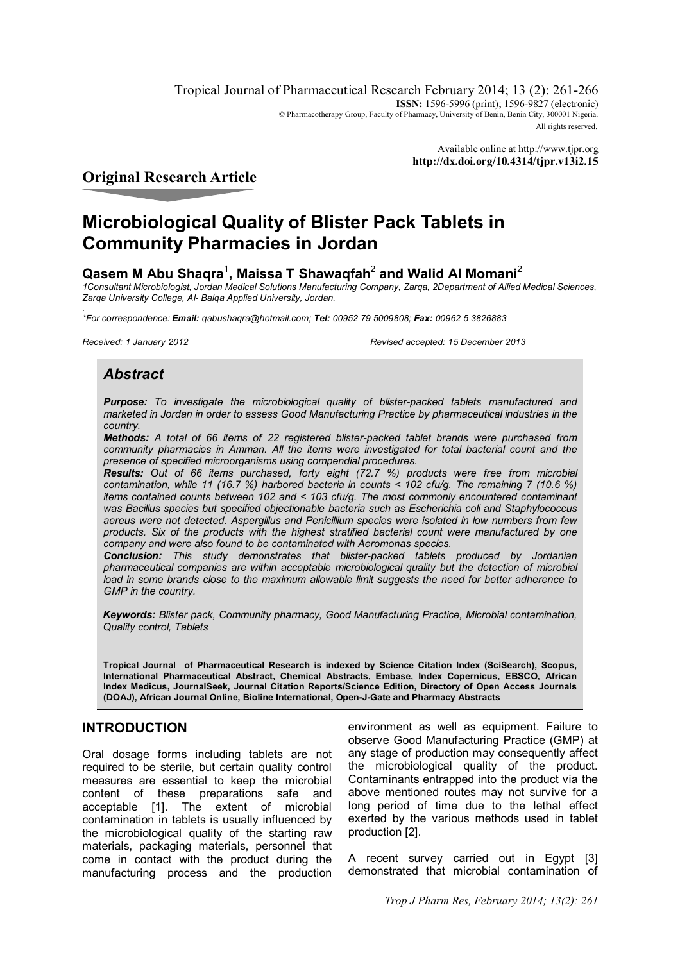Tropical Journal of Pharmaceutical Research February 2014; 13 (2): 261-266 **ISSN:** 1596-5996 (print): 1596-9827 (electronic) © Pharmacotherapy Group, Faculty of Pharmacy, University of Benin, Benin City, 300001 Nigeria. All rights reserved.

> Available online at http://www.tjpr.org **http://dx.doi.org/10.4314/tjpr.v13i2.15**

# **Original Research Article**

# **Microbiological Quality of Blister Pack Tablets in Community Pharmacies in Jordan**

# **Qasem M Abu Shaqra**<sup>1</sup> **, Maissa T Shawaqfah**<sup>2</sup> **and Walid Al Momani**<sup>2</sup>

*1Consultant Microbiologist, Jordan Medical Solutions Manufacturing Company, Zarqa, 2Department of Allied Medical Sciences, Zarqa University College, Al- Balqa Applied University, Jordan.*

*. \*For correspondence: Email: qabushaqra@hotmail.com; Tel: 00952 79 5009808; Fax: 00962 5 3826883*

*Received: 1 January 2012 Revised accepted: 15 December 2013*

# *Abstract*

*Purpose: To investigate the microbiological quality of blister-packed tablets manufactured and marketed in Jordan in order to assess Good Manufacturing Practice by pharmaceutical industries in the country.*

*Methods: A total of 66 items of 22 registered blister-packed tablet brands were purchased from community pharmacies in Amman. All the items were investigated for total bacterial count and the presence of specified microorganisms using compendial procedures.* 

*Results: Out of 66 items purchased, forty eight (72.7 %) products were free from microbial contamination, while 11 (16.7 %) harbored bacteria in counts < 102 cfu/g. The remaining 7 (10.6 %) items contained counts between 102 and < 103 cfu/g. The most commonly encountered contaminant was Bacillus species but specified objectionable bacteria such as Escherichia coli and Staphylococcus aereus were not detected. Aspergillus and Penicillium species were isolated in low numbers from few products. Six of the products with the highest stratified bacterial count were manufactured by one company and were also found to be contaminated with Aeromonas species.* 

*Conclusion: This study demonstrates that blister-packed tablets produced by Jordanian pharmaceutical companies are within acceptable microbiological quality but the detection of microbial load in some brands close to the maximum allowable limit suggests the need for better adherence to GMP in the country.* 

*Keywords: Blister pack, Community pharmacy, Good Manufacturing Practice, Microbial contamination, Quality control, Tablets*

**Tropical Journal of Pharmaceutical Research is indexed by Science Citation Index (SciSearch), Scopus, International Pharmaceutical Abstract, Chemical Abstracts, Embase, Index Copernicus, EBSCO, African Index Medicus, JournalSeek, Journal Citation Reports/Science Edition, Directory of Open Access Journals (DOAJ), African Journal Online, Bioline International, Open-J-Gate and Pharmacy Abstracts**

# **INTRODUCTION**

Oral dosage forms including tablets are not required to be sterile, but certain quality control measures are essential to keep the microbial content of these preparations safe and acceptable [1]. The extent of microbial contamination in tablets is usually influenced by the microbiological quality of the starting raw materials, packaging materials, personnel that come in contact with the product during the manufacturing process and the production

environment as well as equipment. Failure to observe Good Manufacturing Practice (GMP) at any stage of production may consequently affect the microbiological quality of the product. Contaminants entrapped into the product via the above mentioned routes may not survive for a long period of time due to the lethal effect exerted by the various methods used in tablet production [2].

A recent survey carried out in Egypt [3] demonstrated that microbial contamination of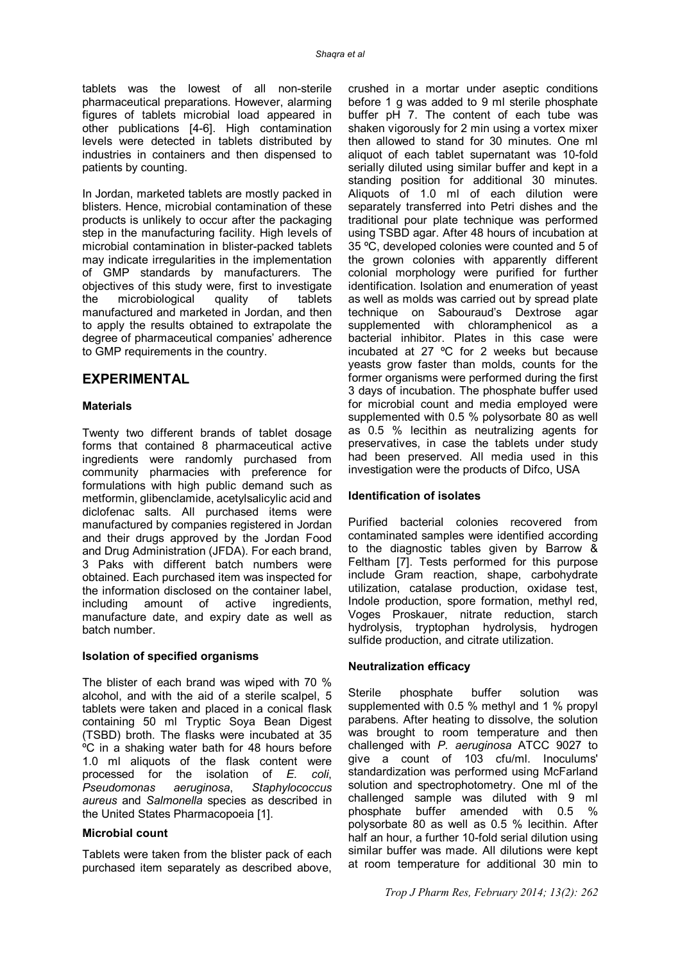tablets was the lowest of all non-sterile pharmaceutical preparations. However, alarming figures of tablets microbial load appeared in other publications [4-6]. High contamination levels were detected in tablets distributed by industries in containers and then dispensed to patients by counting.

In Jordan, marketed tablets are mostly packed in blisters. Hence, microbial contamination of these products is unlikely to occur after the packaging step in the manufacturing facility. High levels of microbial contamination in blister-packed tablets may indicate irregularities in the implementation of GMP standards by manufacturers. The objectives of this study were, first to investigate the microbiological quality of tablets manufactured and marketed in Jordan, and then to apply the results obtained to extrapolate the degree of pharmaceutical companies' adherence to GMP requirements in the country.

### **EXPERIMENTAL**

#### **Materials**

Twenty two different brands of tablet dosage forms that contained 8 pharmaceutical active ingredients were randomly purchased from community pharmacies with preference for formulations with high public demand such as metformin, glibenclamide, acetylsalicylic acid and diclofenac salts. All purchased items were manufactured by companies registered in Jordan and their drugs approved by the Jordan Food and Drug Administration (JFDA). For each brand, 3 Paks with different batch numbers were obtained. Each purchased item was inspected for the information disclosed on the container label, including amount of active ingredients, manufacture date, and expiry date as well as batch number.

#### **Isolation of specified organisms**

The blister of each brand was wiped with 70 % alcohol, and with the aid of a sterile scalpel, 5 tablets were taken and placed in a conical flask containing 50 ml Tryptic Soya Bean Digest (TSBD) broth. The flasks were incubated at 35 ºC in a shaking water bath for 48 hours before 1.0 ml aliquots of the flask content were<br>processed for the isolation of  $E$ . coli. processed for the isolation of *E. coli*, *Pseudomonas aeruginosa*, *Staphylococcus aureus* and *Salmonella* species as described in the United States Pharmacopoeia [1].

#### **Microbial count**

Tablets were taken from the blister pack of each purchased item separately as described above,

crushed in a mortar under aseptic conditions before 1 g was added to 9 ml sterile phosphate buffer pH 7. The content of each tube was shaken vigorously for 2 min using a vortex mixer then allowed to stand for 30 minutes. One ml aliquot of each tablet supernatant was 10-fold serially diluted using similar buffer and kept in a standing position for additional 30 minutes. Aliquots of 1.0 ml of each dilution were separately transferred into Petri dishes and the traditional pour plate technique was performed using TSBD agar. After 48 hours of incubation at 35 ºC, developed colonies were counted and 5 of the grown colonies with apparently different colonial morphology were purified for further identification. Isolation and enumeration of yeast as well as molds was carried out by spread plate technique on Sabouraud's Dextrose agar supplemented with chloramphenicol as a bacterial inhibitor. Plates in this case were incubated at 27 ºC for 2 weeks but because yeasts grow faster than molds, counts for the former organisms were performed during the first 3 days of incubation. The phosphate buffer used for microbial count and media employed were supplemented with 0.5 % polysorbate 80 as well as 0.5 % lecithin as neutralizing agents for preservatives, in case the tablets under study had been preserved. All media used in this investigation were the products of Difco, USA

#### **Identification of isolates**

Purified bacterial colonies recovered from contaminated samples were identified according to the diagnostic tables given by Barrow & Feltham [7]. Tests performed for this purpose include Gram reaction, shape, carbohydrate utilization, catalase production, oxidase test, Indole production, spore formation, methyl red, Voges Proskauer, nitrate reduction, starch hydrolysis, tryptophan hydrolysis, hydrogen sulfide production, and citrate utilization.

#### **Neutralization efficacy**

Sterile phosphate buffer solution was supplemented with 0.5 % methyl and 1 % propyl parabens. After heating to dissolve, the solution was brought to room temperature and then challenged with *P. aeruginosa* ATCC 9027 to give a count of 103 cfu/ml. Inoculums' standardization was performed using McFarland solution and spectrophotometry. One ml of the challenged sample was diluted with 9 ml phosphate buffer amended with 0.5 % polysorbate 80 as well as 0.5 % lecithin. After half an hour, a further 10-fold serial dilution using similar buffer was made. All dilutions were kept at room temperature for additional 30 min to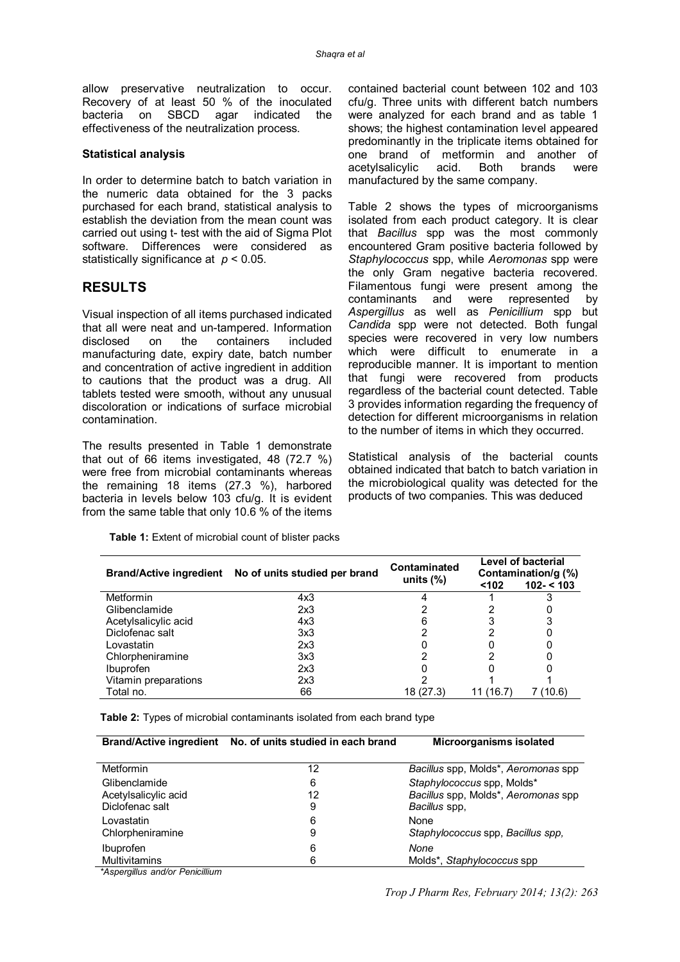allow preservative neutralization to occur. Recovery of at least 50 % of the inoculated bacteria on SBCD agar indicated the effectiveness of the neutralization process.

#### **Statistical analysis**

In order to determine batch to batch variation in the numeric data obtained for the 3 packs purchased for each brand, statistical analysis to establish the deviation from the mean count was carried out using t- test with the aid of Sigma Plot software. Differences were considered as statistically significance at *p* < 0.05.

### **RESULTS**

Visual inspection of all items purchased indicated that all were neat and un-tampered. Information disclosed on the containers included manufacturing date, expiry date, batch number and concentration of active ingredient in addition to cautions that the product was a drug. All tablets tested were smooth, without any unusual discoloration or indications of surface microbial contamination.

The results presented in Table 1 demonstrate that out of 66 items investigated, 48 (72.7 %) were free from microbial contaminants whereas the remaining 18 items (27.3 %), harbored bacteria in levels below 103 cfu/g. It is evident from the same table that only 10.6 % of the items

 **Table 1:** Extent of microbial count of blister packs

contained bacterial count between 102 and 103 cfu/g. Three units with different batch numbers were analyzed for each brand and as table 1 shows; the highest contamination level appeared predominantly in the triplicate items obtained for one brand of metformin and another of acetylsalicylic acid. Both brands were manufactured by the same company.

Table 2 shows the types of microorganisms isolated from each product category. It is clear that *Bacillus* spp was the most commonly encountered Gram positive bacteria followed by *Staphylococcus* spp, while *Aeromonas* spp were the only Gram negative bacteria recovered. Filamentous fungi were present among the contaminants and were represented by *Aspergillus* as well as *Penicillium* spp but *Candida* spp were not detected. Both fungal species were recovered in very low numbers which were difficult to enumerate in a reproducible manner. It is important to mention that fungi were recovered from products regardless of the bacterial count detected. Table 3 provides information regarding the frequency of detection for different microorganisms in relation to the number of items in which they occurred.

Statistical analysis of the bacterial counts obtained indicated that batch to batch variation in the microbiological quality was detected for the products of two companies. This was deduced

|                      | Brand/Active ingredient No of units studied per brand | Contaminated<br>units $(\%)$ | 102          | <b>Level of bacterial</b><br>Contamination/g (%)<br>$102 - 103$ |
|----------------------|-------------------------------------------------------|------------------------------|--------------|-----------------------------------------------------------------|
| Metformin            | 4x3                                                   |                              |              |                                                                 |
| Glibenclamide        | 2x3                                                   |                              |              |                                                                 |
| Acetylsalicylic acid | 4x3                                                   |                              |              |                                                                 |
| Diclofenac salt      | 3x3                                                   |                              |              |                                                                 |
| Lovastatin           | 2x3                                                   |                              |              |                                                                 |
| Chlorpheniramine     | 3x3                                                   |                              |              |                                                                 |
| <b>Ibuprofen</b>     | 2x3                                                   |                              |              |                                                                 |
| Vitamin preparations | 2x3                                                   |                              |              |                                                                 |
| Total no.            | 66                                                    | 18 (27.3)                    | (16.7)<br>11 | (10.6)                                                          |

 **Table 2:** Types of microbial contaminants isolated from each brand type

| <b>Brand/Active ingredient</b> | No. of units studied in each brand | Microorganisms isolated             |  |
|--------------------------------|------------------------------------|-------------------------------------|--|
| <b>Metformin</b>               | 12                                 | Bacillus spp, Molds*, Aeromonas spp |  |
| Glibenclamide                  | 6                                  | Staphylococcus spp, Molds*          |  |
| Acetylsalicylic acid           | 12                                 | Bacillus spp, Molds*, Aeromonas spp |  |
| Diclofenac salt                | 9                                  | Bacillus spp.                       |  |
| Lovastatin                     | 6                                  | None                                |  |
| Chlorpheniramine               | 9                                  | Staphylococcus spp, Bacillus spp,   |  |
| Ibuprofen                      | 6                                  | None                                |  |
| <b>Multivitamins</b>           |                                    | Molds*, Staphylococcus spp.         |  |

 *\*Aspergillus and/or Penicillium*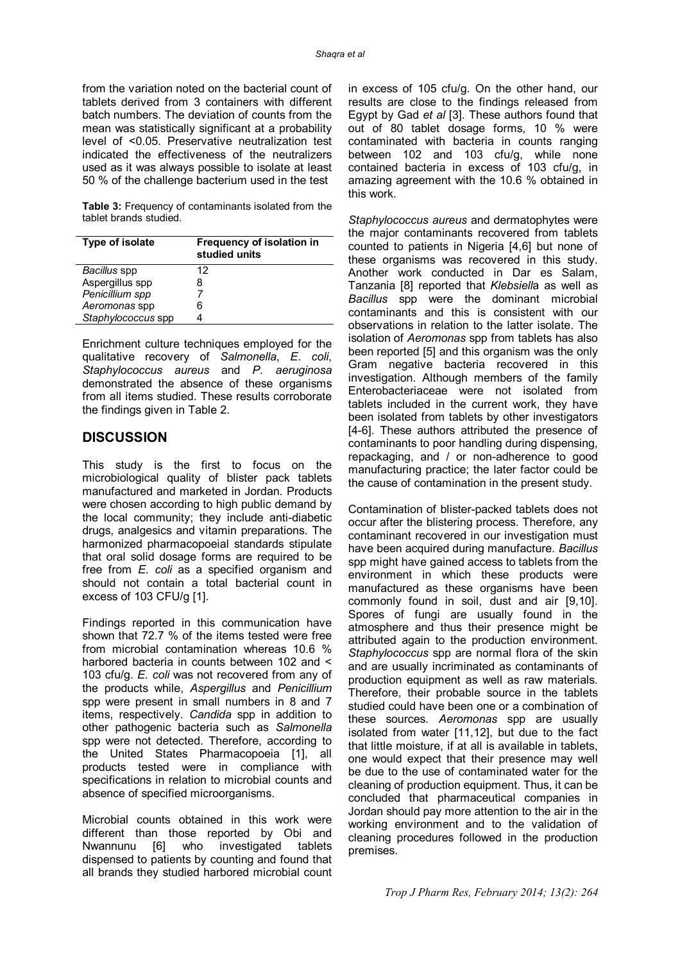from the variation noted on the bacterial count of tablets derived from 3 containers with different batch numbers. The deviation of counts from the mean was statistically significant at a probability level of <0.05. Preservative neutralization test indicated the effectiveness of the neutralizers used as it was always possible to isolate at least 50 % of the challenge bacterium used in the test

**Table 3:** Frequency of contaminants isolated from the tablet brands studied.

| Type of isolate    | Frequency of isolation in<br>studied units |
|--------------------|--------------------------------------------|
| Bacillus spp       | 12                                         |
| Aspergillus spp    | 8                                          |
| Penicillium spp    |                                            |
| Aeromonas spp      | 6                                          |
| Staphylococcus spp |                                            |

Enrichment culture techniques employed for the qualitative recovery of *Salmonella*, *E*. *coli*, *Staphylococcus aureus* and *P. aeruginosa* demonstrated the absence of these organisms from all items studied. These results corroborate the findings given in Table 2.

### **DISCUSSION**

This study is the first to focus on the microbiological quality of blister pack tablets manufactured and marketed in Jordan. Products were chosen according to high public demand by the local community; they include anti-diabetic drugs, analgesics and vitamin preparations. The harmonized pharmacopoeial standards stipulate that oral solid dosage forms are required to be free from *E. coli* as a specified organism and should not contain a total bacterial count in excess of 103 CFU/g [1].

Findings reported in this communication have shown that 72.7 % of the items tested were free from microbial contamination whereas 10.6 % harbored bacteria in counts between 102 and < 103 cfu/g. *E. coli* was not recovered from any of the products while, *Aspergillus* and *Penicillium*  spp were present in small numbers in 8 and 7 items, respectively. *Candida* spp in addition to other pathogenic bacteria such as *Salmonella* spp were not detected. Therefore, according to the United States Pharmacopoeia [1], all products tested were in compliance with specifications in relation to microbial counts and absence of specified microorganisms.

Microbial counts obtained in this work were different than those reported by Obi and Nwannunu [6] who investigated tablets dispensed to patients by counting and found that all brands they studied harbored microbial count in excess of 105 cfu/g. On the other hand, our results are close to the findings released from Egypt by Gad *et al* [3]. These authors found that out of 80 tablet dosage forms, 10 % were contaminated with bacteria in counts ranging between 102 and 103 cfu/g, while none contained bacteria in excess of 103 cfu/g, in amazing agreement with the 10.6 % obtained in this work.

*Staphylococcus aureus* and dermatophytes were the major contaminants recovered from tablets counted to patients in Nigeria [4,6] but none of these organisms was recovered in this study. Another work conducted in Dar es Salam, Tanzania [8] reported that *Klebsiell*a as well as *Bacillus* spp were the dominant microbial contaminants and this is consistent with our observations in relation to the latter isolate. The isolation of *Aeromonas* spp from tablets has also been reported [5] and this organism was the only Gram negative bacteria recovered in this investigation. Although members of the family Enterobacteriaceae were not isolated from tablets included in the current work, they have been isolated from tablets by other investigators [4-6]. These authors attributed the presence of contaminants to poor handling during dispensing, repackaging, and / or non-adherence to good manufacturing practice; the later factor could be the cause of contamination in the present study.

Contamination of blister-packed tablets does not occur after the blistering process. Therefore, any contaminant recovered in our investigation must have been acquired during manufacture. *Bacillus* spp might have gained access to tablets from the environment in which these products were manufactured as these organisms have been commonly found in soil, dust and air [9,10]. Spores of fungi are usually found in the atmosphere and thus their presence might be attributed again to the production environment. *Staphylococcus* spp are normal flora of the skin and are usually incriminated as contaminants of production equipment as well as raw materials. Therefore, their probable source in the tablets studied could have been one or a combination of these sources. *Aeromonas* spp are usually isolated from water [11,12], but due to the fact that little moisture, if at all is available in tablets, one would expect that their presence may well be due to the use of contaminated water for the cleaning of production equipment. Thus, it can be concluded that pharmaceutical companies in Jordan should pay more attention to the air in the working environment and to the validation of cleaning procedures followed in the production premises.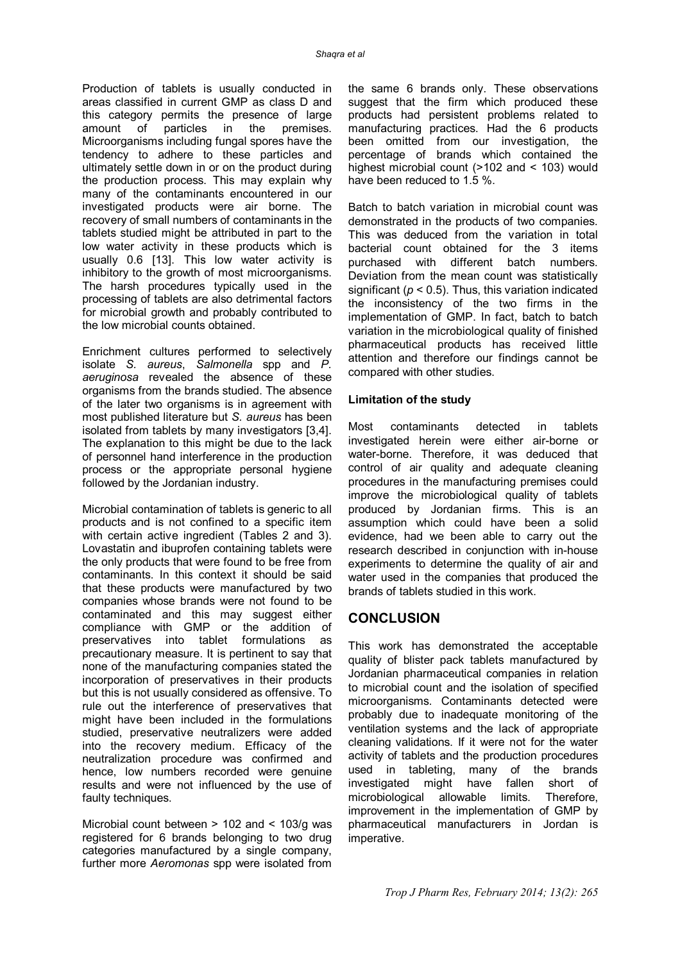Production of tablets is usually conducted in areas classified in current GMP as class D and this category permits the presence of large amount of particles in the premises. Microorganisms including fungal spores have the tendency to adhere to these particles and ultimately settle down in or on the product during the production process. This may explain why many of the contaminants encountered in our investigated products were air borne. The recovery of small numbers of contaminants in the tablets studied might be attributed in part to the low water activity in these products which is usually 0.6 [13]. This low water activity is inhibitory to the growth of most microorganisms. The harsh procedures typically used in the processing of tablets are also detrimental factors for microbial growth and probably contributed to the low microbial counts obtained.

Enrichment cultures performed to selectively isolate *S. aureus*, *Salmonella* spp and *P. aeruginosa* revealed the absence of these organisms from the brands studied. The absence of the later two organisms is in agreement with most published literature but *S. aureus* has been isolated from tablets by many investigators [3,4]. The explanation to this might be due to the lack of personnel hand interference in the production process or the appropriate personal hygiene followed by the Jordanian industry.

Microbial contamination of tablets is generic to all products and is not confined to a specific item with certain active ingredient (Tables 2 and 3). Lovastatin and ibuprofen containing tablets were the only products that were found to be free from contaminants. In this context it should be said that these products were manufactured by two companies whose brands were not found to be contaminated and this may suggest either compliance with GMP or the addition of preservatives into tablet formulations as precautionary measure. It is pertinent to say that none of the manufacturing companies stated the incorporation of preservatives in their products but this is not usually considered as offensive. To rule out the interference of preservatives that might have been included in the formulations studied, preservative neutralizers were added into the recovery medium. Efficacy of the neutralization procedure was confirmed and hence, low numbers recorded were genuine results and were not influenced by the use of faulty techniques.

Microbial count between > 102 and < 103/g was registered for 6 brands belonging to two drug categories manufactured by a single company, further more *Aeromonas* spp were isolated from

the same 6 brands only. These observations suggest that the firm which produced these products had persistent problems related to manufacturing practices. Had the 6 products been omitted from our investigation, the percentage of brands which contained the highest microbial count (>102 and < 103) would have been reduced to 1.5 %.

Batch to batch variation in microbial count was demonstrated in the products of two companies. This was deduced from the variation in total bacterial count obtained for the 3 items purchased with different batch numbers. Deviation from the mean count was statistically significant ( $p < 0.5$ ). Thus, this variation indicated the inconsistency of the two firms in the implementation of GMP. In fact, batch to batch variation in the microbiological quality of finished pharmaceutical products has received little attention and therefore our findings cannot be compared with other studies.

#### **Limitation of the study**

Most contaminants detected in tablets investigated herein were either air-borne or water-borne. Therefore, it was deduced that control of air quality and adequate cleaning procedures in the manufacturing premises could improve the microbiological quality of tablets produced by Jordanian firms. This is an assumption which could have been a solid evidence, had we been able to carry out the research described in conjunction with in-house experiments to determine the quality of air and water used in the companies that produced the brands of tablets studied in this work.

### **CONCLUSION**

This work has demonstrated the acceptable quality of blister pack tablets manufactured by Jordanian pharmaceutical companies in relation to microbial count and the isolation of specified microorganisms. Contaminants detected were probably due to inadequate monitoring of the ventilation systems and the lack of appropriate cleaning validations. If it were not for the water activity of tablets and the production procedures used in tableting, many of the brands investigated might have fallen short of microbiological allowable limits. Therefore, improvement in the implementation of GMP by pharmaceutical manufacturers in Jordan is imperative.